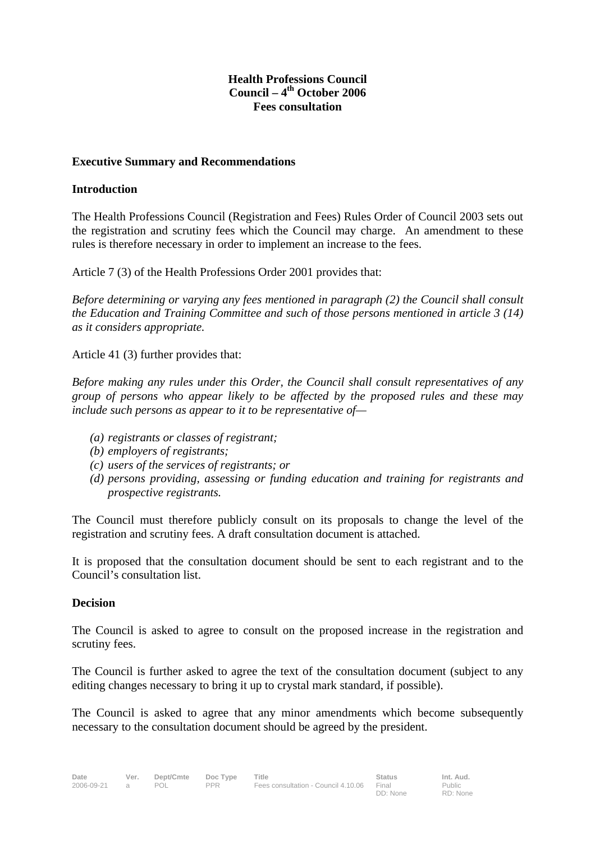#### **Health Professions Council Council – 4th October 2006 Fees consultation**

#### **Executive Summary and Recommendations**

#### **Introduction**

The Health Professions Council (Registration and Fees) Rules Order of Council 2003 sets out the registration and scrutiny fees which the Council may charge. An amendment to these rules is therefore necessary in order to implement an increase to the fees.

Article 7 (3) of the Health Professions Order 2001 provides that:

*Before determining or varying any fees mentioned in paragraph (2) the Council shall consult the Education and Training Committee and such of those persons mentioned in article 3 (14) as it considers appropriate.* 

Article 41 (3) further provides that:

*Before making any rules under this Order, the Council shall consult representatives of any group of persons who appear likely to be affected by the proposed rules and these may include such persons as appear to it to be representative of—* 

- *(a) registrants or classes of registrant;*
- *(b) employers of registrants;*
- *(c) users of the services of registrants; or*
- *(d) persons providing, assessing or funding education and training for registrants and prospective registrants.*

The Council must therefore publicly consult on its proposals to change the level of the registration and scrutiny fees. A draft consultation document is attached.

It is proposed that the consultation document should be sent to each registrant and to the Council's consultation list.

#### **Decision**

The Council is asked to agree to consult on the proposed increase in the registration and scrutiny fees.

The Council is further asked to agree the text of the consultation document (subject to any editing changes necessary to bring it up to crystal mark standard, if possible).

The Council is asked to agree that any minor amendments which become subsequently necessary to the consultation document should be agreed by the president.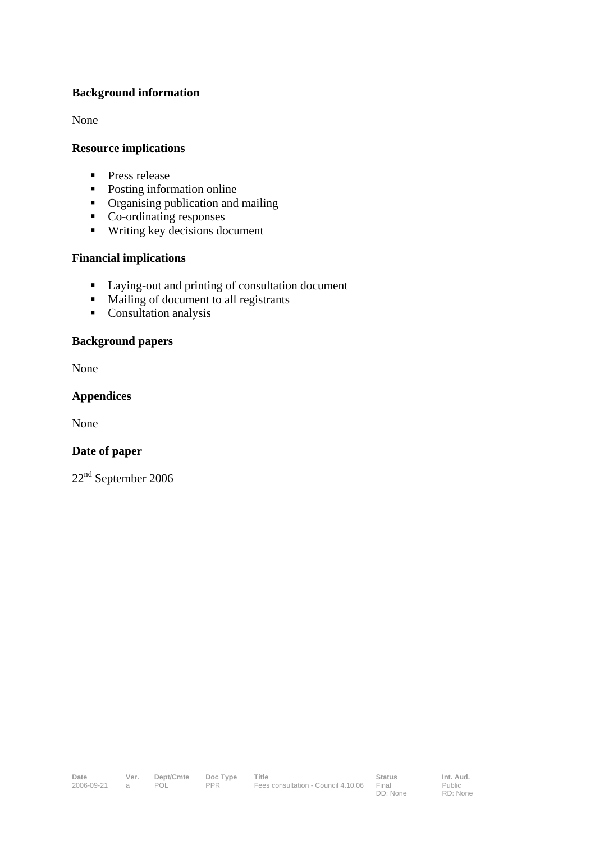#### **Background information**

None

#### **Resource implications**

- **Press release**
- Posting information online
- Organising publication and mailing
- Co-ordinating responses
- Writing key decisions document

#### **Financial implications**

- Laying-out and printing of consultation document
- $$
- **Consultation analysis**

#### **Background papers**

None

#### **Appendices**

None

#### **Date of paper**

22nd September 2006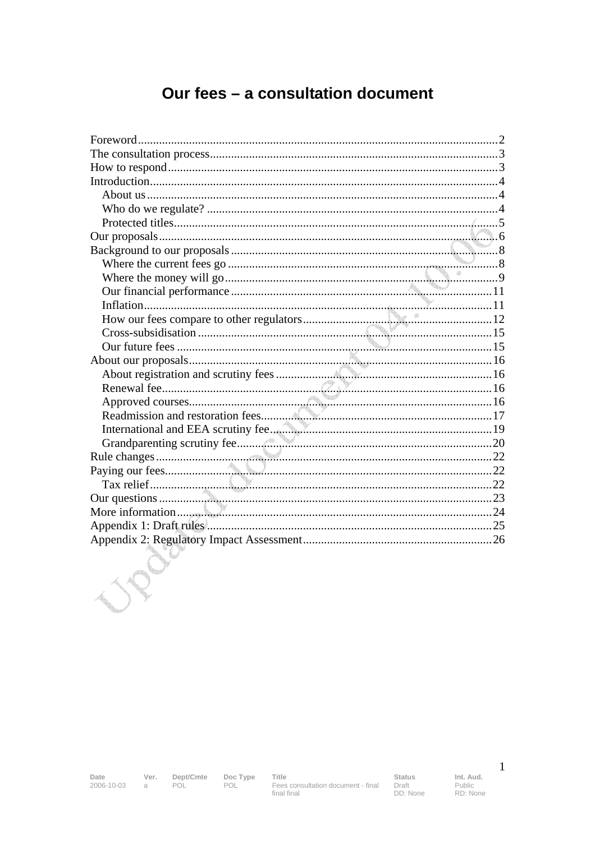# Our fees - a consultation document

**Date**<br>2006-10-03  $a$ 

Ver. Dept/Cmte **POL** 

Doc Type<br>POL

Status Draft<br>Draft<br>DD: None Int. Aud. Public<br>Public<br>RD: None  $\mathbf{1}$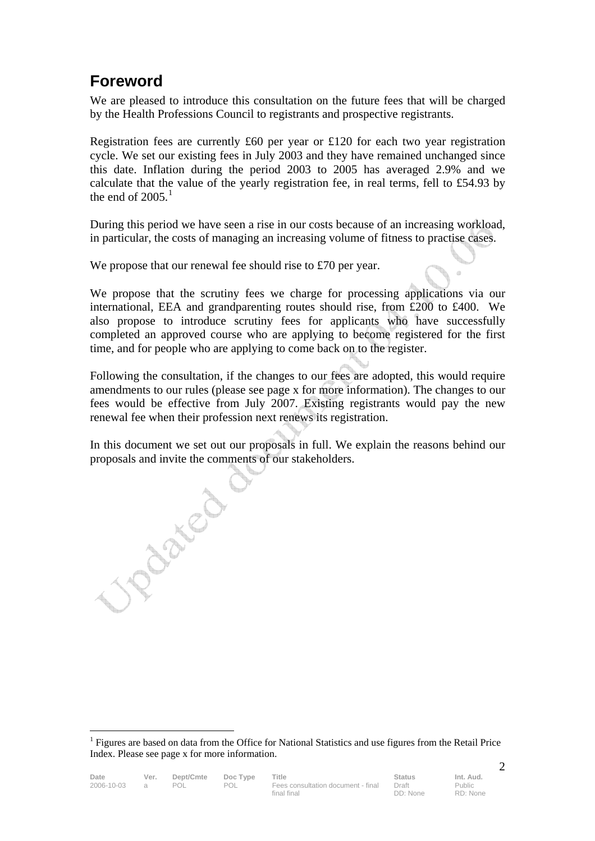# **Foreword**

We are pleased to introduce this consultation on the future fees that will be charged by the Health Professions Council to registrants and prospective registrants.

Registration fees are currently £60 per year or £120 for each two year registration cycle. We set our existing fees in July 2003 and they have remained unchanged since this date. Inflation during the period 2003 to 2005 has averaged 2.9% and we calculate that the value of the yearly registration fee, in real terms, fell to £54.93 by the end of  $2005<sup>1</sup>$ 

During this period we have seen a rise in our costs because of an increasing workload, in particular, the costs of managing an increasing volume of fitness to practise cases.

We propose that our renewal fee should rise to £70 per year.

We propose that the scrutiny fees we charge for processing applications via our international, EEA and grandparenting routes should rise, from £200 to £400. We also propose to introduce scrutiny fees for applicants who have successfully completed an approved course who are applying to become registered for the first time, and for people who are applying to come back on to the register.

Following the consultation, if the changes to our fees are adopted, this would require amendments to our rules (please see page x for more information). The changes to our fees would be effective from July 2007. Existing registrants would pay the new renewal fee when their profession next renews its registration.

In this document we set out our proposals in full. We explain the reasons behind our proposals and invite the comments of our stakeholders.

 $\mathcal{L}$ <sup>1</sup> Figures are based on data from the Office for National Statistics and use figures from the Retail Price Index. Please see page x for more information.

UP Den BY

 $\overline{a}$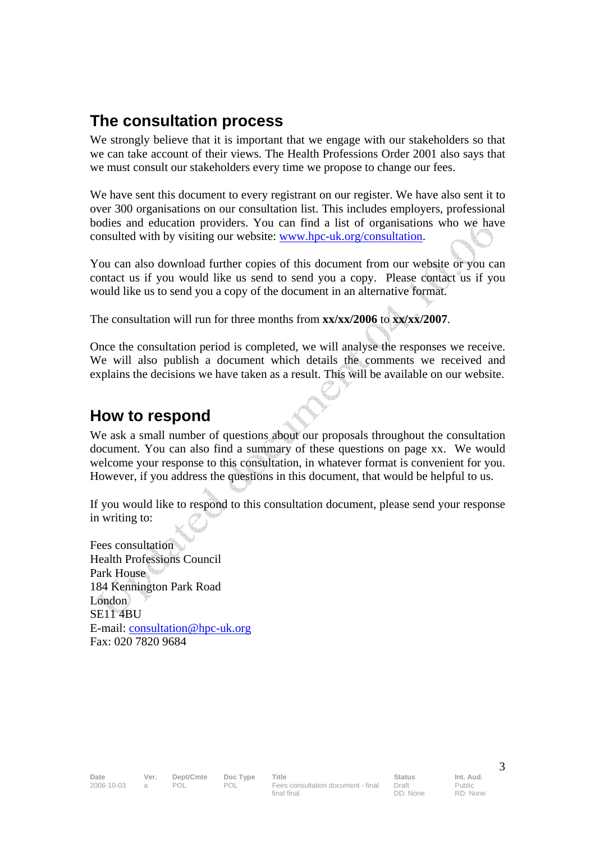## **The consultation process**

We strongly believe that it is important that we engage with our stakeholders so that we can take account of their views. The Health Professions Order 2001 also says that we must consult our stakeholders every time we propose to change our fees.

We have sent this document to every registrant on our register. We have also sent it to over 300 organisations on our consultation list. This includes employers, professional bodies and education providers. You can find a list of organisations who we have consulted with by visiting our website: www.hpc-uk.org/consultation.

You can also download further copies of this document from our website or you can contact us if you would like us send to send you a copy. Please contact us if you would like us to send you a copy of the document in an alternative format.

The consultation will run for three months from **xx/xx/2006** to **xx/xx/2007**.

Once the consultation period is completed, we will analyse the responses we receive. We will also publish a document which details the comments we received and explains the decisions we have taken as a result. This will be available on our website.

## **How to respond**

We ask a small number of questions about our proposals throughout the consultation document. You can also find a summary of these questions on page xx. We would welcome your response to this consultation, in whatever format is convenient for you. However, if you address the questions in this document, that would be helpful to us.

If you would like to respond to this consultation document, please send your response in writing to:

Fees consultation Health Professions Council Park House 184 Kennington Park Road London SE11 4BU E-mail: consultation@hpc-uk.org Fax: 020 7820 9684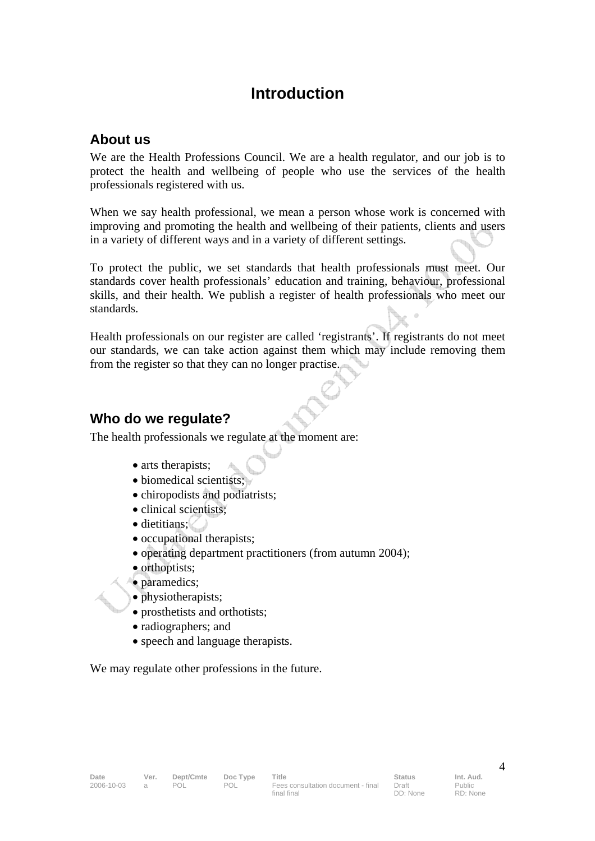## **Introduction**

### **About us**

We are the Health Professions Council. We are a health regulator, and our job is to protect the health and wellbeing of people who use the services of the health professionals registered with us.

When we say health professional, we mean a person whose work is concerned with improving and promoting the health and wellbeing of their patients, clients and users in a variety of different ways and in a variety of different settings.

To protect the public, we set standards that health professionals must meet. Our standards cover health professionals' education and training, behaviour, professional skills, and their health. We publish a register of health professionals who meet our standards.

Health professionals on our register are called 'registrants'. If registrants do not meet our standards, we can take action against them which may include removing them from the register so that they can no longer practise.

### **Who do we regulate?**

The health professionals we regulate at the moment are:

- arts therapists;
- biomedical scientists;
- chiropodists and podiatrists;
- clinical scientists:
- dietitians:
- occupational therapists;
- operating department practitioners (from autumn 2004);
- orthoptists;
- paramedics;
- physiotherapists;
- prosthetists and orthotists;
- radiographers; and
- speech and language therapists.

We may regulate other professions in the future.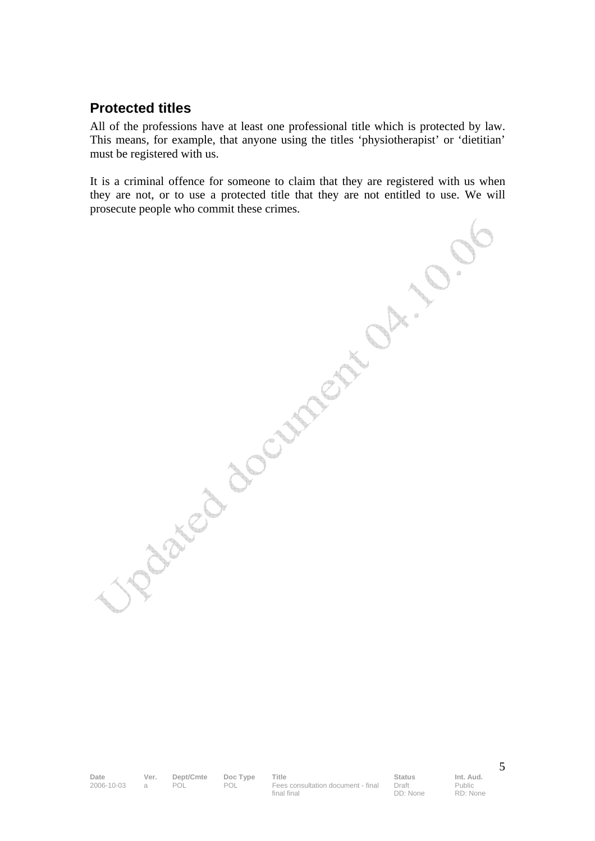### **Protected titles**

All of the professions have at least one professional title which is protected by law. This means, for example, that anyone using the titles 'physiotherapist' or 'dietitian' must be registered with us.

It is a criminal offence for someone to claim that they are registered with us when they are not, or to use a protected title that they are not entitled to use. We will prosecute people who commit these crimes.

Date Ver. Dept/Cmte Doc Type Title **Status** Status Int. Aud. 2006-10-03 a POL POL Fees consultation document - final final final

Draft DD: None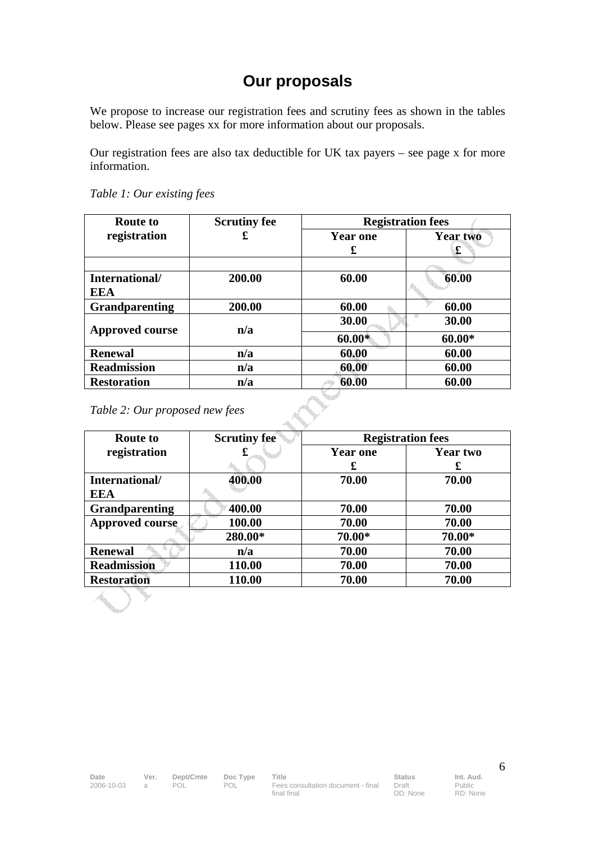# **Our proposals**

We propose to increase our registration fees and scrutiny fees as shown in the tables below. Please see pages xx for more information about our proposals.

Our registration fees are also tax deductible for UK tax payers – see page x for more information.

| <b>Route to</b>        | <b>Scrutiny fee</b> | <b>Registration fees</b> |                 |  |
|------------------------|---------------------|--------------------------|-----------------|--|
| registration           | £                   | <b>Year one</b>          | <b>Year two</b> |  |
|                        |                     | £                        | £               |  |
|                        |                     |                          |                 |  |
| International/         | 200.00              | 60.00                    | 60.00           |  |
| <b>EEA</b>             |                     |                          |                 |  |
| <b>Grandparenting</b>  | 200.00              | 60.00                    | 60.00           |  |
| <b>Approved course</b> | n/a                 | 30.00                    | 30.00           |  |
|                        |                     | $60.00*$                 | $60.00*$        |  |
| <b>Renewal</b>         | n/a                 | 60.00                    | 60.00           |  |
| <b>Readmission</b>     | n/a                 | 60.00                    | 60.00           |  |
| <b>Restoration</b>     | n/a                 | 60.00                    | 60.00           |  |

*Table 1: Our existing fees* 

*Table 2: Our proposed new fees* 

| <b>Route to</b>        | <b>Scrutiny fee</b> | <b>Registration fees</b> |          |  |
|------------------------|---------------------|--------------------------|----------|--|
| registration           | £                   | <b>Year one</b>          | Year two |  |
|                        |                     | £                        | £        |  |
| International/         | 400.00              | 70.00                    | 70.00    |  |
| <b>EEA</b>             |                     |                          |          |  |
| <b>Grandparenting</b>  | 400.00              | 70.00                    | 70.00    |  |
| <b>Approved course</b> | 100.00              | 70.00                    | 70.00    |  |
|                        | 280.00*             | 70.00*                   | 70.00*   |  |
| <b>Renewal</b>         | n/a                 | 70.00                    | 70.00    |  |
| <b>Readmission</b>     | 110.00              | 70.00                    | 70.00    |  |
| <b>Restoration</b>     | 110.00              | 70.00                    | 70.00    |  |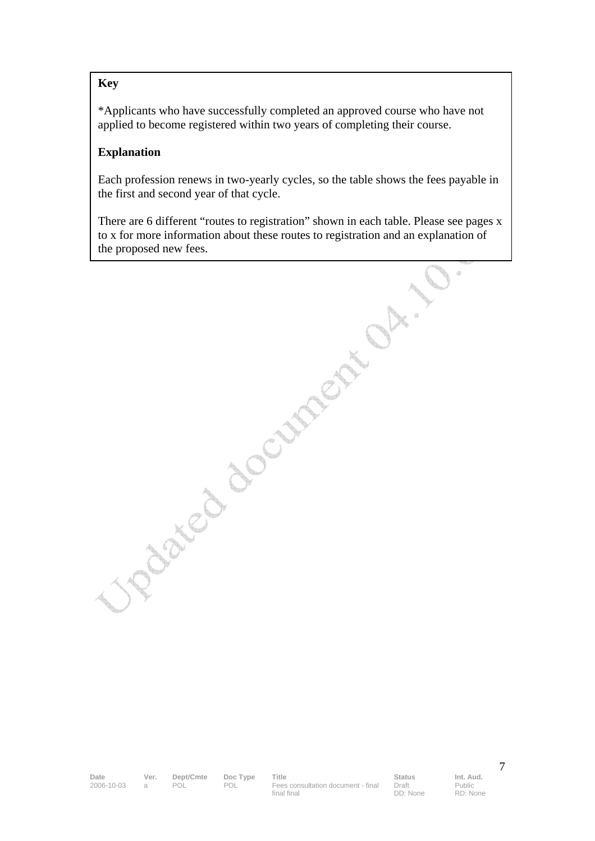#### **Key**

\*Applicants who have successfully completed an approved course who have not applied to become registered within two years of completing their course.

#### **Explanation**

Each profession renews in two-yearly cycles, so the table shows the fees payable in the first and second year of that cycle.

There are 6 different "routes to registration" shown in each table. Please see pages x to x for more information about these routes to registration and an explanation of Like proposed new fees.

Date Ver. Dept/Cmte Doc Type Title **Status** Status Int. Aud. 2006-10-03 a POL POL Fees consultation document - final final final

Draft DD: None Public RD: None

 $\circledcirc$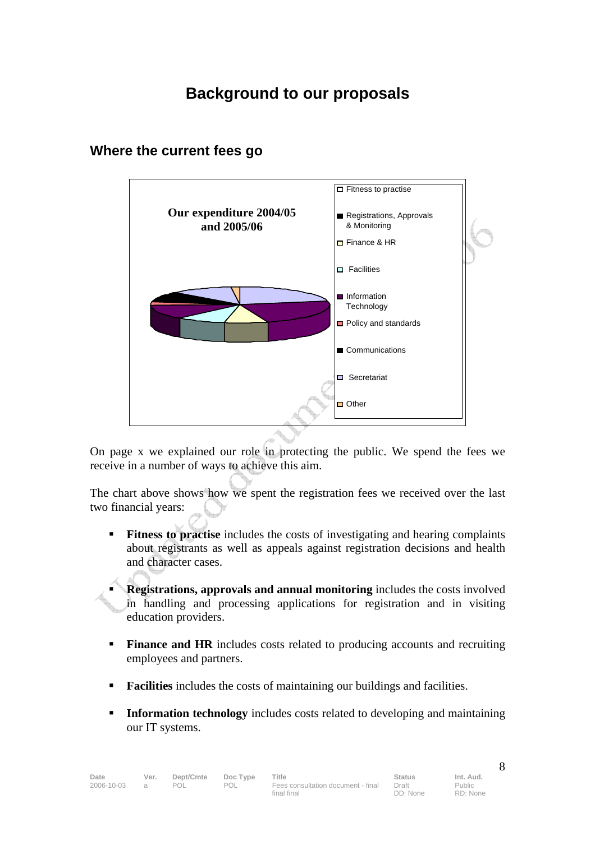# **Background to our proposals**



## **Where the current fees go**

On page x we explained our role in protecting the public. We spend the fees we receive in a number of ways to achieve this aim.

The chart above shows how we spent the registration fees we received over the last two financial years:

**Fitness to practise** includes the costs of investigating and hearing complaints about registrants as well as appeals against registration decisions and health and character cases.

 **Registrations, approvals and annual monitoring** includes the costs involved in handling and processing applications for registration and in visiting education providers.

- **Finance and HR** includes costs related to producing accounts and recruiting employees and partners.
- **Facilities** includes the costs of maintaining our buildings and facilities.
- **Information technology** includes costs related to developing and maintaining our IT systems.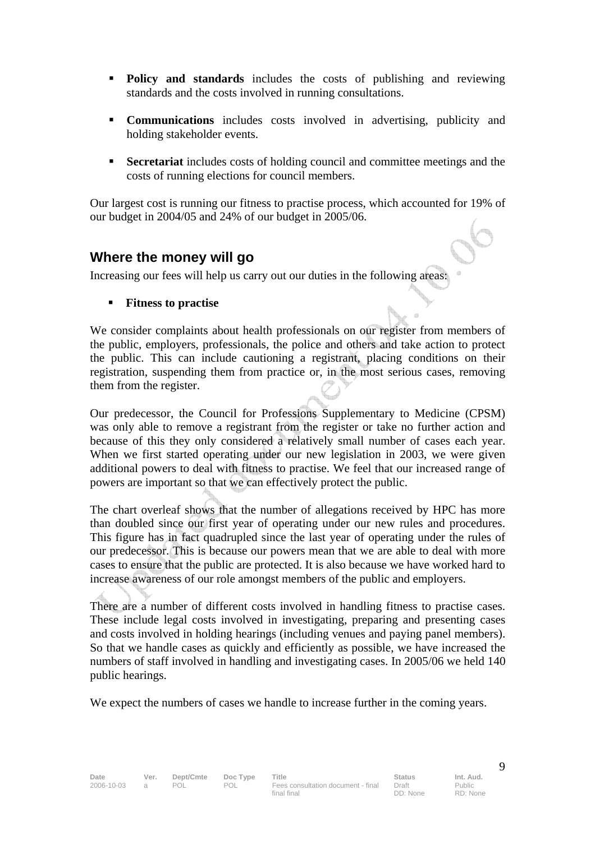- **Policy and standards** includes the costs of publishing and reviewing standards and the costs involved in running consultations.
- **Communications** includes costs involved in advertising, publicity and holding stakeholder events.
- **Secretariat** includes costs of holding council and committee meetings and the costs of running elections for council members.

Our largest cost is running our fitness to practise process, which accounted for 19% of our budget in 2004/05 and 24% of our budget in 2005/06.

### **Where the money will go**

Increasing our fees will help us carry out our duties in the following areas:

**Fitness to practise** 

We consider complaints about health professionals on our register from members of the public, employers, professionals, the police and others and take action to protect the public. This can include cautioning a registrant, placing conditions on their registration, suspending them from practice or, in the most serious cases, removing them from the register.

Our predecessor, the Council for Professions Supplementary to Medicine (CPSM) was only able to remove a registrant from the register or take no further action and because of this they only considered a relatively small number of cases each year. When we first started operating under our new legislation in 2003, we were given additional powers to deal with fitness to practise. We feel that our increased range of powers are important so that we can effectively protect the public.

The chart overleaf shows that the number of allegations received by HPC has more than doubled since our first year of operating under our new rules and procedures. This figure has in fact quadrupled since the last year of operating under the rules of our predecessor. This is because our powers mean that we are able to deal with more cases to ensure that the public are protected. It is also because we have worked hard to increase awareness of our role amongst members of the public and employers.

There are a number of different costs involved in handling fitness to practise cases. These include legal costs involved in investigating, preparing and presenting cases and costs involved in holding hearings (including venues and paying panel members). So that we handle cases as quickly and efficiently as possible, we have increased the numbers of staff involved in handling and investigating cases. In 2005/06 we held 140 public hearings.

We expect the numbers of cases we handle to increase further in the coming years.

RD: None

Public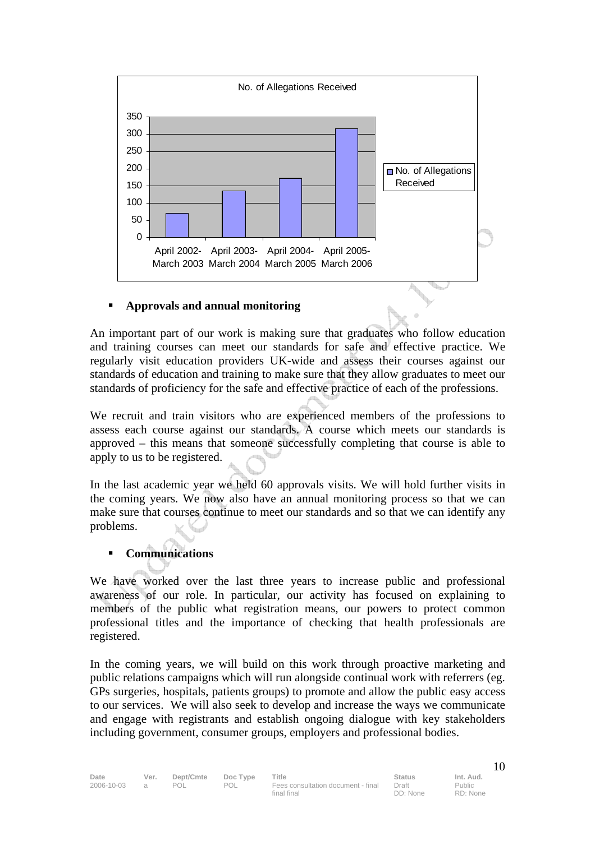

#### **Approvals and annual monitoring**

An important part of our work is making sure that graduates who follow education and training courses can meet our standards for safe and effective practice. We regularly visit education providers UK-wide and assess their courses against our standards of education and training to make sure that they allow graduates to meet our standards of proficiency for the safe and effective practice of each of the professions.

We recruit and train visitors who are experienced members of the professions to assess each course against our standards. A course which meets our standards is approved – this means that someone successfully completing that course is able to apply to us to be registered.

In the last academic year we held 60 approvals visits. We will hold further visits in the coming years. We now also have an annual monitoring process so that we can make sure that courses continue to meet our standards and so that we can identify any problems.

#### **Communications**

We have worked over the last three years to increase public and professional awareness of our role. In particular, our activity has focused on explaining to members of the public what registration means, our powers to protect common professional titles and the importance of checking that health professionals are registered.

In the coming years, we will build on this work through proactive marketing and public relations campaigns which will run alongside continual work with referrers (eg. GPs surgeries, hospitals, patients groups) to promote and allow the public easy access to our services. We will also seek to develop and increase the ways we communicate and engage with registrants and establish ongoing dialogue with key stakeholders including government, consumer groups, employers and professional bodies.

final final

Draft DD: None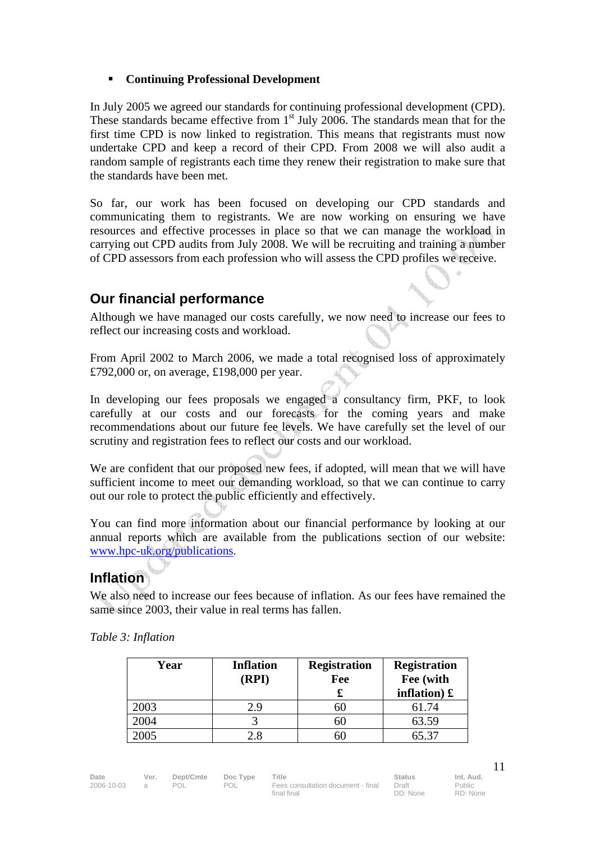#### **Continuing Professional Development**

In July 2005 we agreed our standards for continuing professional development (CPD). These standards became effective from  $1<sup>st</sup>$  July 2006. The standards mean that for the first time CPD is now linked to registration. This means that registrants must now undertake CPD and keep a record of their CPD. From 2008 we will also audit a random sample of registrants each time they renew their registration to make sure that the standards have been met.

So far, our work has been focused on developing our CPD standards and communicating them to registrants. We are now working on ensuring we have resources and effective processes in place so that we can manage the workload in carrying out CPD audits from July 2008. We will be recruiting and training a number of CPD assessors from each profession who will assess the CPD profiles we receive.

## **Our financial performance**

Although we have managed our costs carefully, we now need to increase our fees to reflect our increasing costs and workload.

From April 2002 to March 2006, we made a total recognised loss of approximately £792,000 or, on average, £198,000 per year.

In developing our fees proposals we engaged a consultancy firm, PKF, to look carefully at our costs and our forecasts for the coming years and make recommendations about our future fee levels. We have carefully set the level of our scrutiny and registration fees to reflect our costs and our workload.

We are confident that our proposed new fees, if adopted, will mean that we will have sufficient income to meet our demanding workload, so that we can continue to carry out our role to protect the public efficiently and effectively.

You can find more information about our financial performance by looking at our annual reports which are available from the publications section of our website: www.hpc-uk.org/publications.

## **Inflation**

We also need to increase our fees because of inflation. As our fees have remained the same since 2003, their value in real terms has fallen.

*Table 3: Inflation* 

| Year | <b>Inflation</b><br>(RPI) | <b>Registration</b><br>Fee | <b>Registration</b><br>Fee (with<br>inflation) $\mathbf{\pounds}$ |
|------|---------------------------|----------------------------|-------------------------------------------------------------------|
| 2003 | 2.9                       | 60                         | 61.74                                                             |
| 2004 |                           | 60                         | 63.59                                                             |
| 2005 | 2.8                       | hU.                        | 65.37                                                             |

Public RD: None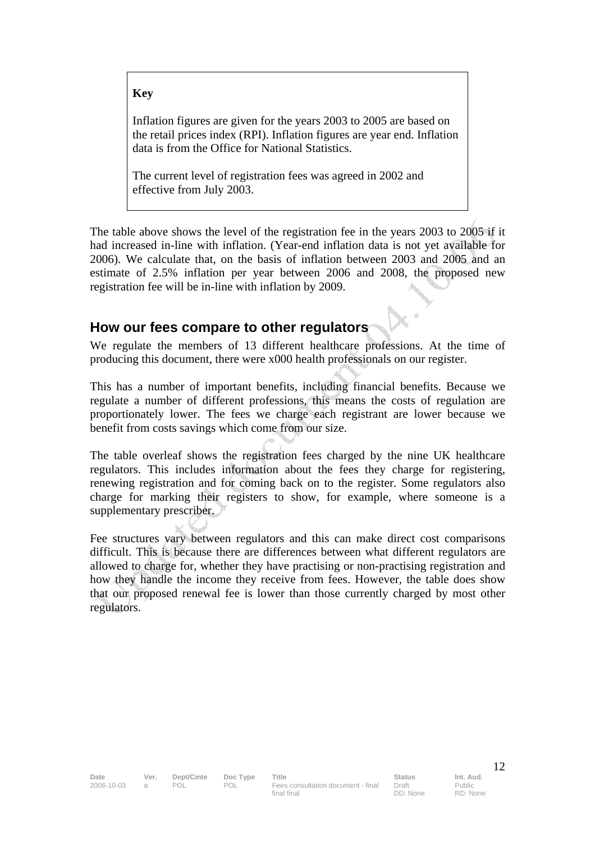#### **Key**

Inflation figures are given for the years 2003 to 2005 are based on the retail prices index (RPI). Inflation figures are year end. Inflation data is from the Office for National Statistics.

The current level of registration fees was agreed in 2002 and effective from July 2003.

The table above shows the level of the registration fee in the years 2003 to 2005 if it had increased in-line with inflation. (Year-end inflation data is not yet available for 2006). We calculate that, on the basis of inflation between 2003 and 2005 and an estimate of 2.5% inflation per year between 2006 and 2008, the proposed new registration fee will be in-line with inflation by 2009.

## **How our fees compare to other regulators**

We regulate the members of 13 different healthcare professions. At the time of producing this document, there were x000 health professionals on our register.

This has a number of important benefits, including financial benefits. Because we regulate a number of different professions, this means the costs of regulation are proportionately lower. The fees we charge each registrant are lower because we benefit from costs savings which come from our size.

The table overleaf shows the registration fees charged by the nine UK healthcare regulators. This includes information about the fees they charge for registering, renewing registration and for coming back on to the register. Some regulators also charge for marking their registers to show, for example, where someone is a supplementary prescriber.

Fee structures vary between regulators and this can make direct cost comparisons difficult. This is because there are differences between what different regulators are allowed to charge for, whether they have practising or non-practising registration and how they handle the income they receive from fees. However, the table does show that our proposed renewal fee is lower than those currently charged by most other regulators.

Draft DD: None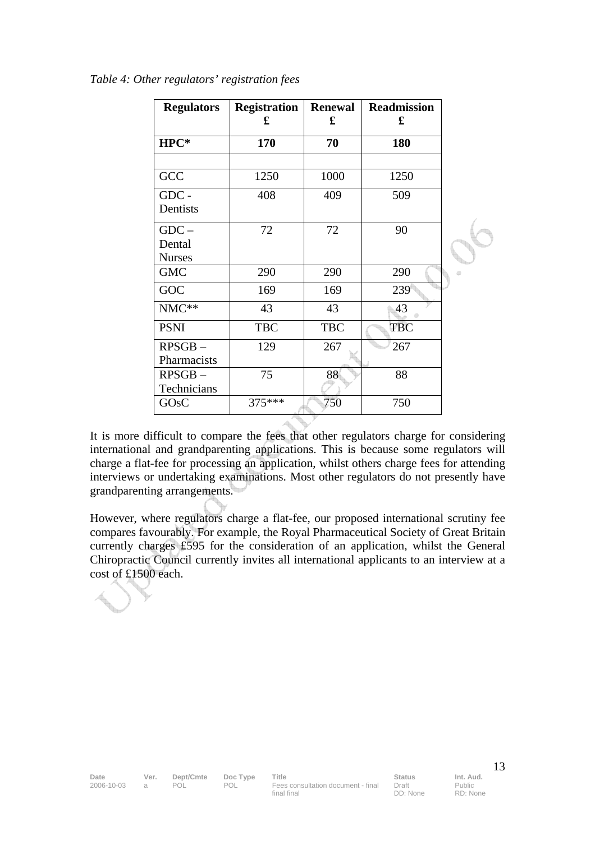| <b>Regulators</b> | <b>Registration</b><br>£ | <b>Renewal</b><br>£ | <b>Readmission</b><br>£ |  |
|-------------------|--------------------------|---------------------|-------------------------|--|
| HPC*              | 170                      | 70                  | 180                     |  |
|                   |                          |                     |                         |  |
| GCC               | 1250                     | 1000                | 1250                    |  |
| GDC -             | 408                      | 409                 | 509                     |  |
| Dentists          |                          |                     |                         |  |
| $GDC -$           | 72                       | 72                  | 90                      |  |
| Dental            |                          |                     |                         |  |
| <b>Nurses</b>     |                          |                     |                         |  |
| <b>GMC</b>        | 290                      | 290                 | 290                     |  |
| GOC               | 169                      | 169                 | 239                     |  |
| NMC**             | 43                       | 43                  | 43                      |  |
| <b>PSNI</b>       | <b>TBC</b>               | <b>TBC</b>          | <b>TBC</b>              |  |
| $RPSGB -$         | 129                      | 267                 | 267                     |  |
| Pharmacists       |                          |                     |                         |  |
| $RPSGB$ –         | 75                       | 88                  | 88                      |  |
| Technicians       |                          |                     |                         |  |
| GO <sub>s</sub> C | 375***                   | 750                 | 750                     |  |

*Table 4: Other regulators' registration fees* 

It is more difficult to compare the fees that other regulators charge for considering international and grandparenting applications. This is because some regulators will charge a flat-fee for processing an application, whilst others charge fees for attending interviews or undertaking examinations. Most other regulators do not presently have grandparenting arrangements.

However, where regulators charge a flat-fee, our proposed international scrutiny fee compares favourably. For example, the Royal Pharmaceutical Society of Great Britain currently charges £595 for the consideration of an application, whilst the General Chiropractic Council currently invites all international applicants to an interview at a cost of £1500 each.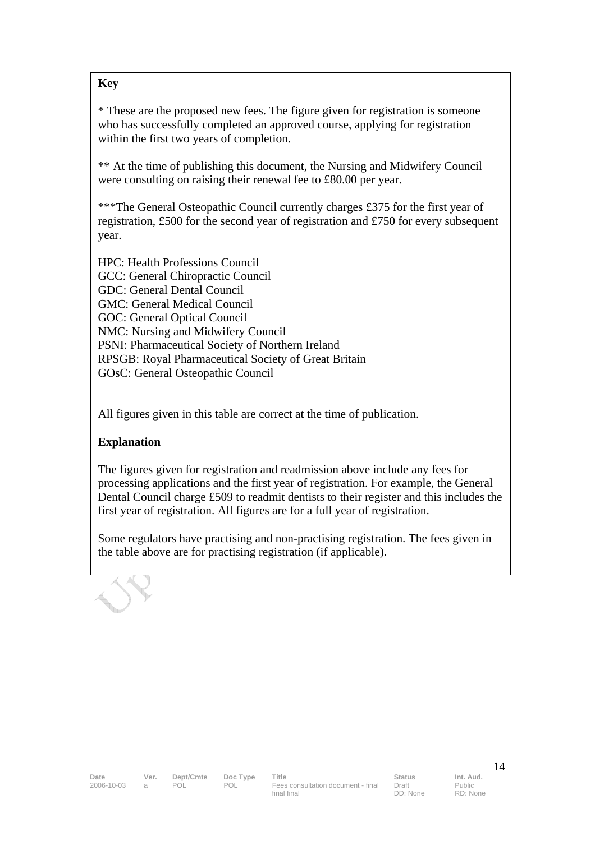#### **Key**

\* These are the proposed new fees. The figure given for registration is someone who has successfully completed an approved course, applying for registration within the first two years of completion.

\*\* At the time of publishing this document, the Nursing and Midwifery Council were consulting on raising their renewal fee to £80.00 per year.

\*\*\*The General Osteopathic Council currently charges £375 for the first year of registration, £500 for the second year of registration and £750 for every subsequent year.

HPC: Health Professions Council GCC: General Chiropractic Council GDC: General Dental Council GMC: General Medical Council GOC: General Optical Council NMC: Nursing and Midwifery Council PSNI: Pharmaceutical Society of Northern Ireland RPSGB: Royal Pharmaceutical Society of Great Britain GOsC: General Osteopathic Council

All figures given in this table are correct at the time of publication.

#### **Explanation**

The figures given for registration and readmission above include any fees for processing applications and the first year of registration. For example, the General Dental Council charge £509 to readmit dentists to their register and this includes the first year of registration. All figures are for a full year of registration.

Some regulators have practising and non-practising registration. The fees given in the table above are for practising registration (if applicable).

Draft DD: None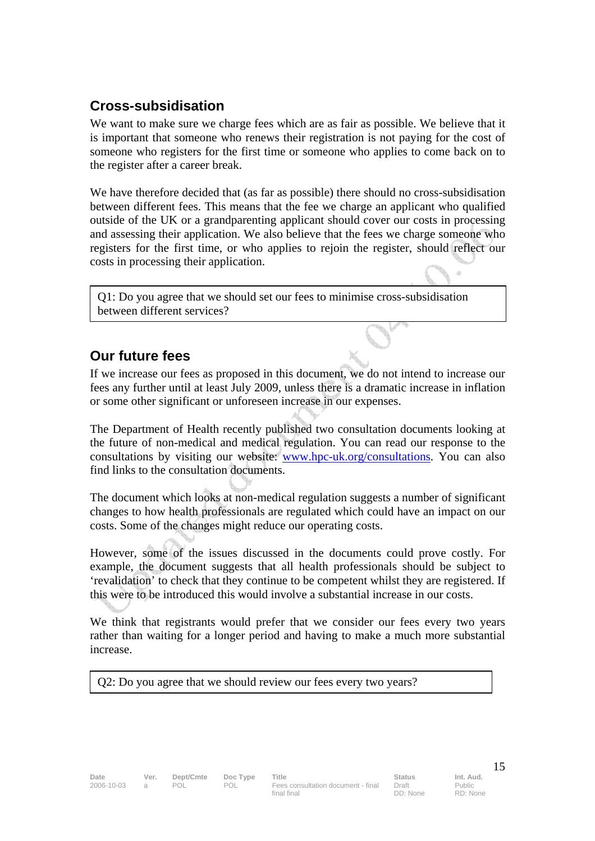## **Cross-subsidisation**

We want to make sure we charge fees which are as fair as possible. We believe that it is important that someone who renews their registration is not paying for the cost of someone who registers for the first time or someone who applies to come back on to the register after a career break.

We have therefore decided that (as far as possible) there should no cross-subsidisation between different fees. This means that the fee we charge an applicant who qualified outside of the UK or a grandparenting applicant should cover our costs in processing and assessing their application. We also believe that the fees we charge someone who registers for the first time, or who applies to rejoin the register, should reflect our costs in processing their application.

Q1: Do you agree that we should set our fees to minimise cross-subsidisation between different services?

## **Our future fees**

If we increase our fees as proposed in this document, we do not intend to increase our fees any further until at least July 2009, unless there is a dramatic increase in inflation or some other significant or unforeseen increase in our expenses.

The Department of Health recently published two consultation documents looking at the future of non-medical and medical regulation. You can read our response to the consultations by visiting our website: www.hpc-uk.org/consultations. You can also find links to the consultation documents.

The document which looks at non-medical regulation suggests a number of significant changes to how health professionals are regulated which could have an impact on our costs. Some of the changes might reduce our operating costs.

However, some of the issues discussed in the documents could prove costly. For example, the document suggests that all health professionals should be subject to 'revalidation' to check that they continue to be competent whilst they are registered. If this were to be introduced this would involve a substantial increase in our costs.

We think that registrants would prefer that we consider our fees every two years rather than waiting for a longer period and having to make a much more substantial increase.

Q2: Do you agree that we should review our fees every two years?

RD: None

 $\alpha$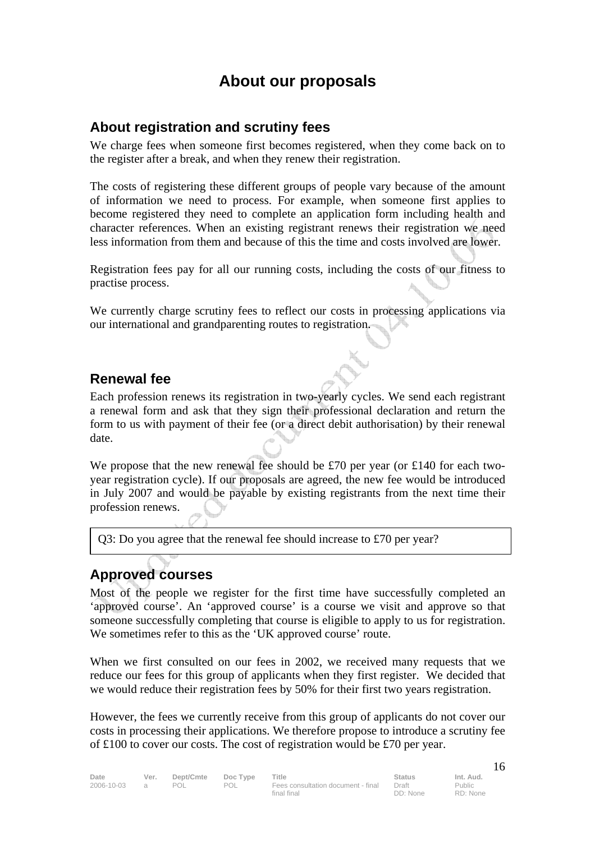## **About our proposals**

### **About registration and scrutiny fees**

We charge fees when someone first becomes registered, when they come back on to the register after a break, and when they renew their registration.

The costs of registering these different groups of people vary because of the amount of information we need to process. For example, when someone first applies to become registered they need to complete an application form including health and character references. When an existing registrant renews their registration we need less information from them and because of this the time and costs involved are lower.

Registration fees pay for all our running costs, including the costs of our fitness to practise process.

We currently charge scrutiny fees to reflect our costs in processing applications via our international and grandparenting routes to registration.

### **Renewal fee**

Each profession renews its registration in two-yearly cycles. We send each registrant a renewal form and ask that they sign their professional declaration and return the form to us with payment of their fee (or a direct debit authorisation) by their renewal date.

We propose that the new renewal fee should be £70 per year (or £140 for each twoyear registration cycle). If our proposals are agreed, the new fee would be introduced in July 2007 and would be payable by existing registrants from the next time their profession renews.

Q3: Do you agree that the renewal fee should increase to £70 per year?

## **Approved courses**

Most of the people we register for the first time have successfully completed an 'approved course'. An 'approved course' is a course we visit and approve so that someone successfully completing that course is eligible to apply to us for registration. We sometimes refer to this as the 'UK approved course' route.

When we first consulted on our fees in 2002, we received many requests that we reduce our fees for this group of applicants when they first register. We decided that we would reduce their registration fees by 50% for their first two years registration.

However, the fees we currently receive from this group of applicants do not cover our costs in processing their applications. We therefore propose to introduce a scrutiny fee of £100 to cover our costs. The cost of registration would be £70 per year.

Date Ver. Dept/Cmte Doc Type Title **Status** Status Int. Aud. 2006-10-03 a POL POL Fees consultation document - final final final

Draft DD: None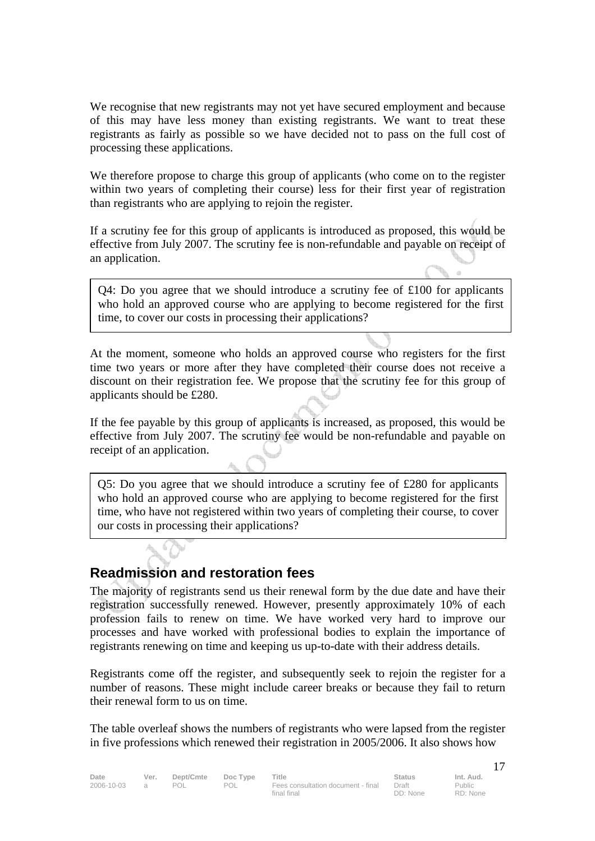We recognise that new registrants may not yet have secured employment and because of this may have less money than existing registrants. We want to treat these registrants as fairly as possible so we have decided not to pass on the full cost of processing these applications.

We therefore propose to charge this group of applicants (who come on to the register within two years of completing their course) less for their first year of registration than registrants who are applying to rejoin the register.

If a scrutiny fee for this group of applicants is introduced as proposed, this would be effective from July 2007. The scrutiny fee is non-refundable and payable on receipt of an application.

Q4: Do you agree that we should introduce a scrutiny fee of £100 for applicants who hold an approved course who are applying to become registered for the first time, to cover our costs in processing their applications?

At the moment, someone who holds an approved course who registers for the first time two years or more after they have completed their course does not receive a discount on their registration fee. We propose that the scrutiny fee for this group of applicants should be £280.

If the fee payable by this group of applicants is increased, as proposed, this would be effective from July 2007. The scrutiny fee would be non-refundable and payable on receipt of an application.

Q5: Do you agree that we should introduce a scrutiny fee of £280 for applicants who hold an approved course who are applying to become registered for the first time, who have not registered within two years of completing their course, to cover our costs in processing their applications?

### **Readmission and restoration fees**

The majority of registrants send us their renewal form by the due date and have their registration successfully renewed. However, presently approximately 10% of each profession fails to renew on time. We have worked very hard to improve our processes and have worked with professional bodies to explain the importance of registrants renewing on time and keeping us up-to-date with their address details.

Registrants come off the register, and subsequently seek to rejoin the register for a number of reasons. These might include career breaks or because they fail to return their renewal form to us on time.

The table overleaf shows the numbers of registrants who were lapsed from the register in five professions which renewed their registration in 2005/2006. It also shows how

Date Ver. Dept/Cmte Doc Type Title **Status** Status Int. Aud. 2006-10-03 a POL POL Fees consultation document - final final final

Draft DD: None Public RD: None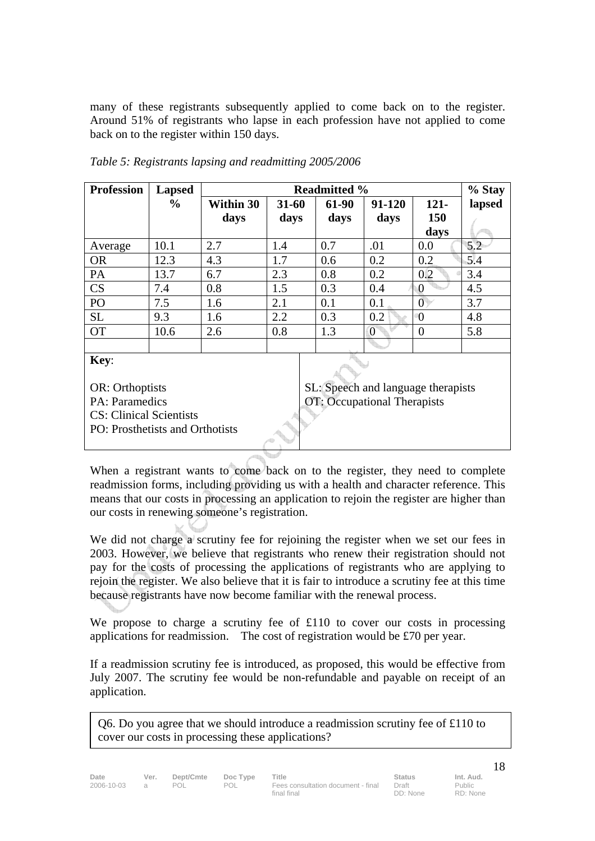many of these registrants subsequently applied to come back on to the register. Around 51% of registrants who lapse in each profession have not applied to come back on to the register within 150 days.

| <b>Profession</b> | <b>Lapsed</b> | <b>Readmitted %</b> |           |       |                | % Stay         |        |
|-------------------|---------------|---------------------|-----------|-------|----------------|----------------|--------|
|                   | $\%$          | <b>Within 30</b>    | $31 - 60$ | 61-90 | 91-120         | $121 -$        | lapsed |
|                   |               | days                | days      | days  | days           | 150            |        |
|                   |               |                     |           |       |                | days           |        |
| Average           | 10.1          | 2.7                 | 1.4       | 0.7   | .01            | 0.0            | 5.2    |
| <b>OR</b>         | 12.3          | 4.3                 | 1.7       | 0.6   | 0.2            | 0.2            | 5.4    |
| PA                | 13.7          | 6.7                 | 2.3       | 0.8   | 0.2            | 0.2            | 3.4    |
| <b>CS</b>         | 7.4           | 0.8                 | 1.5       | 0.3   | 0.4            | $\bf{0}$       | 4.5    |
| PO                | 7.5           | 1.6                 | 2.1       | 0.1   | 0.1            | $\overline{0}$ | 3.7    |
| <b>SL</b>         | 9.3           | 1.6                 | 2.2       | 0.3   | 0.2            | $\theta$       | 4.8    |
| <b>OT</b>         | 10.6          | 2.6                 | 0.8       | 1.3   | $\overline{0}$ | $\overline{0}$ | 5.8    |
|                   |               |                     |           |       |                |                |        |
| Key:              |               |                     |           |       |                |                |        |

*Table 5: Registrants lapsing and readmitting 2005/2006* 

OR: Orthoptists PA: Paramedics CS: Clinical Scientists PO: Prosthetists and Orthotists

SL: Speech and language therapists OT: Occupational Therapists

When a registrant wants to come back on to the register, they need to complete readmission forms, including providing us with a health and character reference. This means that our costs in processing an application to rejoin the register are higher than our costs in renewing someone's registration.

We did not charge a scrutiny fee for rejoining the register when we set our fees in 2003. However, we believe that registrants who renew their registration should not pay for the costs of processing the applications of registrants who are applying to rejoin the register. We also believe that it is fair to introduce a scrutiny fee at this time because registrants have now become familiar with the renewal process.

We propose to charge a scrutiny fee of £110 to cover our costs in processing applications for readmission. The cost of registration would be £70 per year.

If a readmission scrutiny fee is introduced, as proposed, this would be effective from July 2007. The scrutiny fee would be non-refundable and payable on receipt of an application.

Q6. Do you agree that we should introduce a readmission scrutiny fee of  $\pounds$ 110 to cover our costs in processing these applications?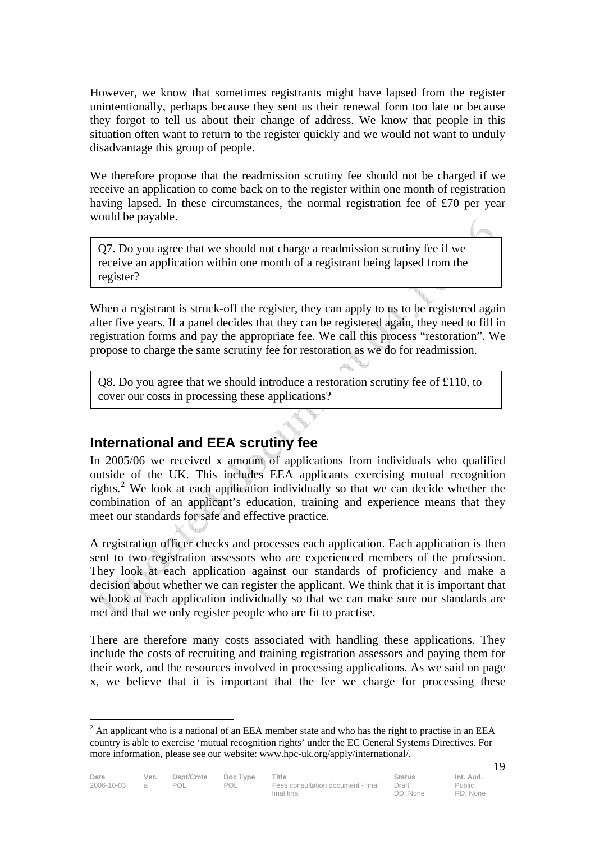However, we know that sometimes registrants might have lapsed from the register unintentionally, perhaps because they sent us their renewal form too late or because they forgot to tell us about their change of address. We know that people in this situation often want to return to the register quickly and we would not want to unduly disadvantage this group of people.

We therefore propose that the readmission scrutiny fee should not be charged if we receive an application to come back on to the register within one month of registration having lapsed. In these circumstances, the normal registration fee of £70 per year would be payable.

Q7. Do you agree that we should not charge a readmission scrutiny fee if we receive an application within one month of a registrant being lapsed from the register?

When a registrant is struck-off the register, they can apply to us to be registered again after five years. If a panel decides that they can be registered again, they need to fill in registration forms and pay the appropriate fee. We call this process "restoration". We propose to charge the same scrutiny fee for restoration as we do for readmission.

Q8. Do you agree that we should introduce a restoration scrutiny fee of £110, to cover our costs in processing these applications?

## **International and EEA scrutiny fee**

In 2005/06 we received x amount of applications from individuals who qualified outside of the UK. This includes EEA applicants exercising mutual recognition rights.<sup>2</sup> We look at each application individually so that we can decide whether the combination of an applicant's education, training and experience means that they meet our standards for safe and effective practice.

A registration officer checks and processes each application. Each application is then sent to two registration assessors who are experienced members of the profession. They look at each application against our standards of proficiency and make a decision about whether we can register the applicant. We think that it is important that we look at each application individually so that we can make sure our standards are met and that we only register people who are fit to practise.

There are therefore many costs associated with handling these applications. They include the costs of recruiting and training registration assessors and paying them for their work, and the resources involved in processing applications. As we said on page x, we believe that it is important that the fee we charge for processing these

 $\overline{a}$ 

 $2^2$  An applicant who is a national of an EEA member state and who has the right to practise in an EEA country is able to exercise 'mutual recognition rights' under the EC General Systems Directives. For more information, please see our website: www.hpc-uk.org/apply/international/.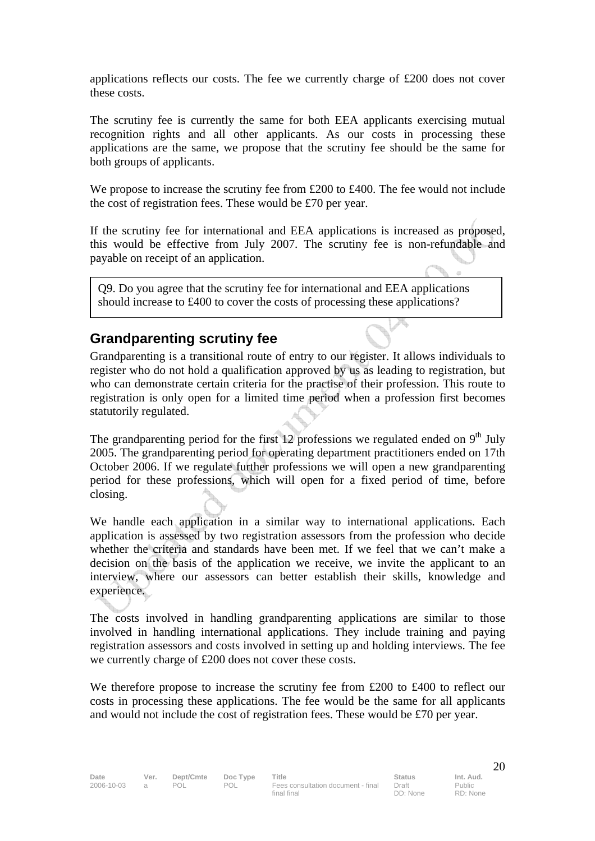applications reflects our costs. The fee we currently charge of £200 does not cover these costs.

The scrutiny fee is currently the same for both EEA applicants exercising mutual recognition rights and all other applicants. As our costs in processing these applications are the same, we propose that the scrutiny fee should be the same for both groups of applicants.

We propose to increase the scrutiny fee from £200 to £400. The fee would not include the cost of registration fees. These would be £70 per year.

If the scrutiny fee for international and EEA applications is increased as proposed, this would be effective from July 2007. The scrutiny fee is non-refundable and payable on receipt of an application.

Q9. Do you agree that the scrutiny fee for international and EEA applications should increase to £400 to cover the costs of processing these applications?

### **Grandparenting scrutiny fee**

Grandparenting is a transitional route of entry to our register. It allows individuals to register who do not hold a qualification approved by us as leading to registration, but who can demonstrate certain criteria for the practise of their profession. This route to registration is only open for a limited time period when a profession first becomes statutorily regulated.

The grandparenting period for the first 12 professions we regulated ended on  $9<sup>th</sup>$  July 2005. The grandparenting period for operating department practitioners ended on 17th October 2006. If we regulate further professions we will open a new grandparenting period for these professions, which will open for a fixed period of time, before closing.

We handle each application in a similar way to international applications. Each application is assessed by two registration assessors from the profession who decide whether the criteria and standards have been met. If we feel that we can't make a decision on the basis of the application we receive, we invite the applicant to an interview, where our assessors can better establish their skills, knowledge and experience.

The costs involved in handling grandparenting applications are similar to those involved in handling international applications. They include training and paying registration assessors and costs involved in setting up and holding interviews. The fee we currently charge of £200 does not cover these costs.

We therefore propose to increase the scrutiny fee from £200 to £400 to reflect our costs in processing these applications. The fee would be the same for all applicants and would not include the cost of registration fees. These would be £70 per year.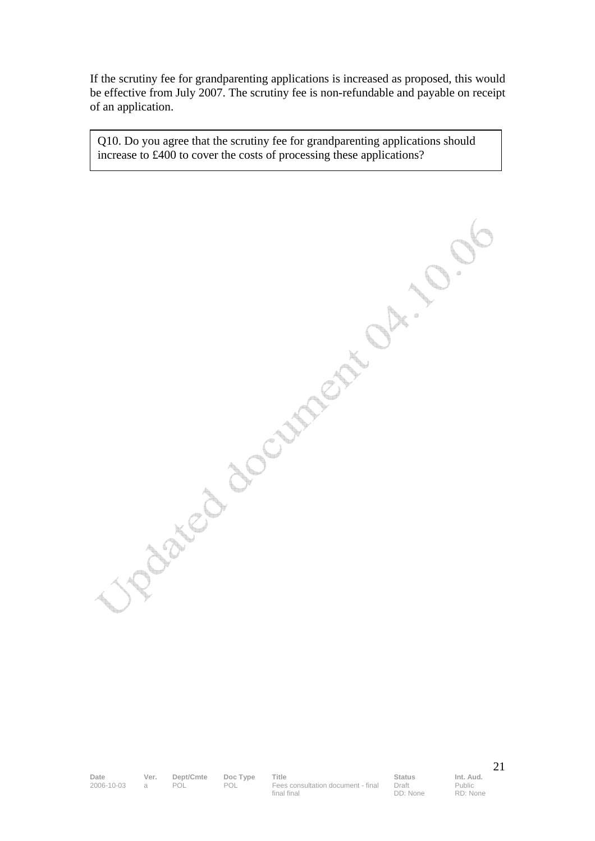If the scrutiny fee for grandparenting applications is increased as proposed, this would be effective from July 2007. The scrutiny fee is non-refundable and payable on receipt of an application.

Q10. Do you agree that the scrutiny fee for grandparenting applications should increase to £400 to cover the costs of processing these applications?

Date Ver. Dept/Cmte Doc Type Title **Status** Status Int. Aud. 2006-10-03 a POL POL Fees consultation document - final final final

Draft DD: None Public RD: None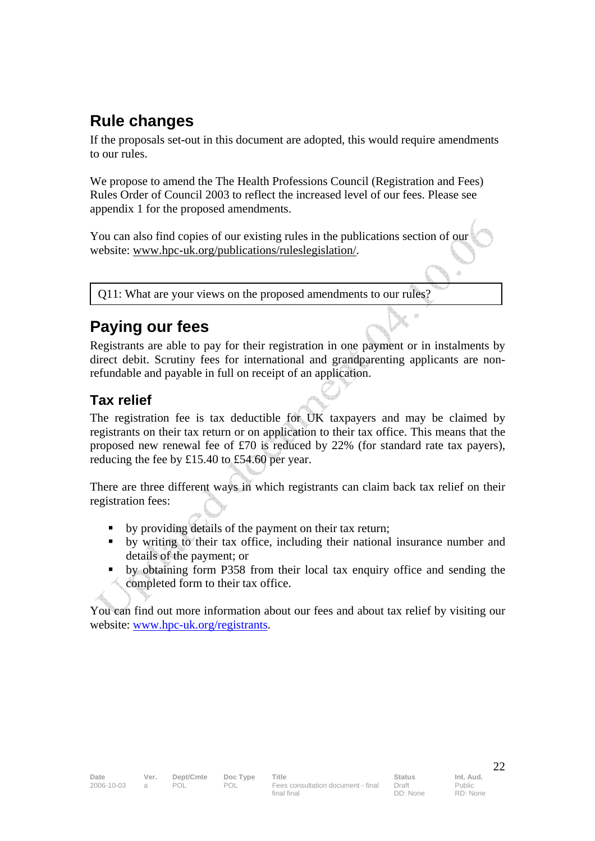# **Rule changes**

If the proposals set-out in this document are adopted, this would require amendments to our rules.

We propose to amend the The Health Professions Council (Registration and Fees) Rules Order of Council 2003 to reflect the increased level of our fees. Please see appendix 1 for the proposed amendments.

You can also find copies of our existing rules in the publications section of our website: www.hpc-uk.org/publications/ruleslegislation/.

Q11: What are your views on the proposed amendments to our rules?

# **Paying our fees**

Registrants are able to pay for their registration in one payment or in instalments by direct debit. Scrutiny fees for international and grandparenting applicants are nonrefundable and payable in full on receipt of an application.

## **Tax relief**

The registration fee is tax deductible for UK taxpayers and may be claimed by registrants on their tax return or on application to their tax office. This means that the proposed new renewal fee of £70 is reduced by 22% (for standard rate tax payers), reducing the fee by £15.40 to £54.60 per year.

There are three different ways in which registrants can claim back tax relief on their registration fees:

- by providing details of the payment on their tax return;
- by writing to their tax office, including their national insurance number and details of the payment; or
- by obtaining form P358 from their local tax enquiry office and sending the completed form to their tax office.

You can find out more information about our fees and about tax relief by visiting our website: www.hpc-uk.org/registrants.

 $\sqrt{2}$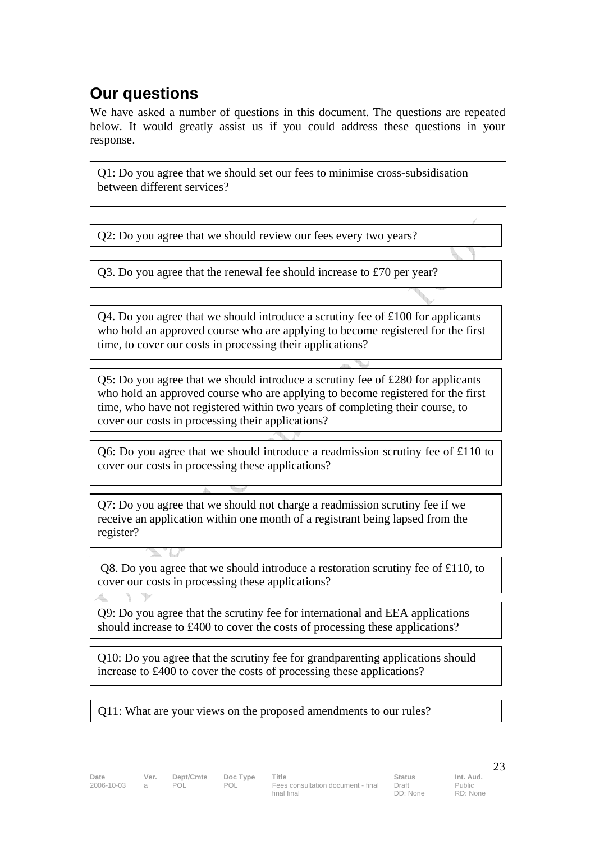# **Our questions**

We have asked a number of questions in this document. The questions are repeated below. It would greatly assist us if you could address these questions in your response.

Q1: Do you agree that we should set our fees to minimise cross-subsidisation between different services?

Q2: Do you agree that we should review our fees every two years?

Q3. Do you agree that the renewal fee should increase to £70 per year?

 $Q4$ . Do you agree that we should introduce a scrutiny fee of £100 for applicants who hold an approved course who are applying to become registered for the first time, to cover our costs in processing their applications?

Q5: Do you agree that we should introduce a scrutiny fee of £280 for applicants who hold an approved course who are applying to become registered for the first time, who have not registered within two years of completing their course, to cover our costs in processing their applications?

Q6: Do you agree that we should introduce a readmission scrutiny fee of £110 to cover our costs in processing these applications?

Q7: Do you agree that we should not charge a readmission scrutiny fee if we receive an application within one month of a registrant being lapsed from the register?

 Q8. Do you agree that we should introduce a restoration scrutiny fee of £110, to cover our costs in processing these applications?

Q9: Do you agree that the scrutiny fee for international and EEA applications should increase to £400 to cover the costs of processing these applications?

Q10: Do you agree that the scrutiny fee for grandparenting applications should increase to £400 to cover the costs of processing these applications?

Q11: What are your views on the proposed amendments to our rules?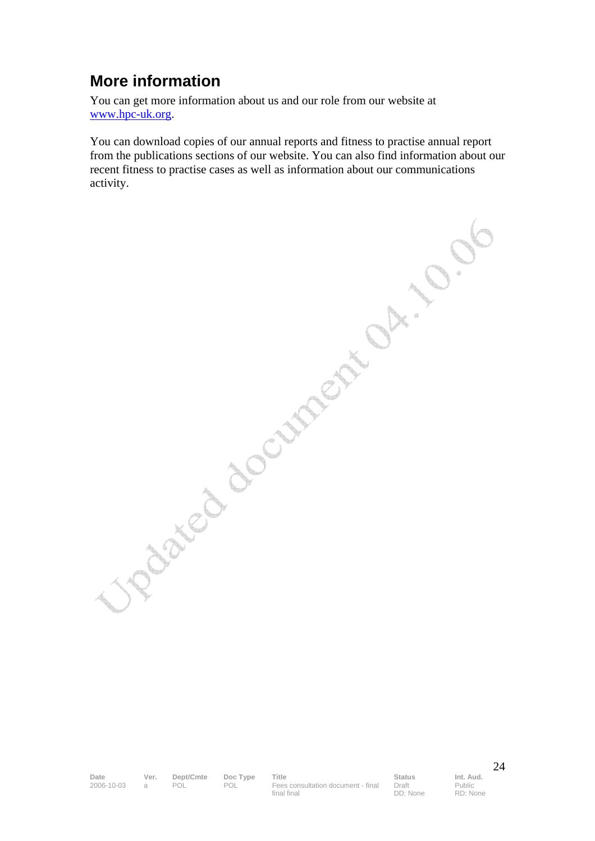# **More information**

You can get more information about us and our role from our website at www.hpc-uk.org.

You can download copies of our annual reports and fitness to practise annual report from the publications sections of our website. You can also find information about our recent fitness to practise cases as well as information about our communications ordinated document of 10

Date Ver. Dept/Cmte Doc Type Title **Status** Status Int. Aud. 2006-10-03 a POL POL Fees consultation document - final final final

Draft DD: None Public RD: None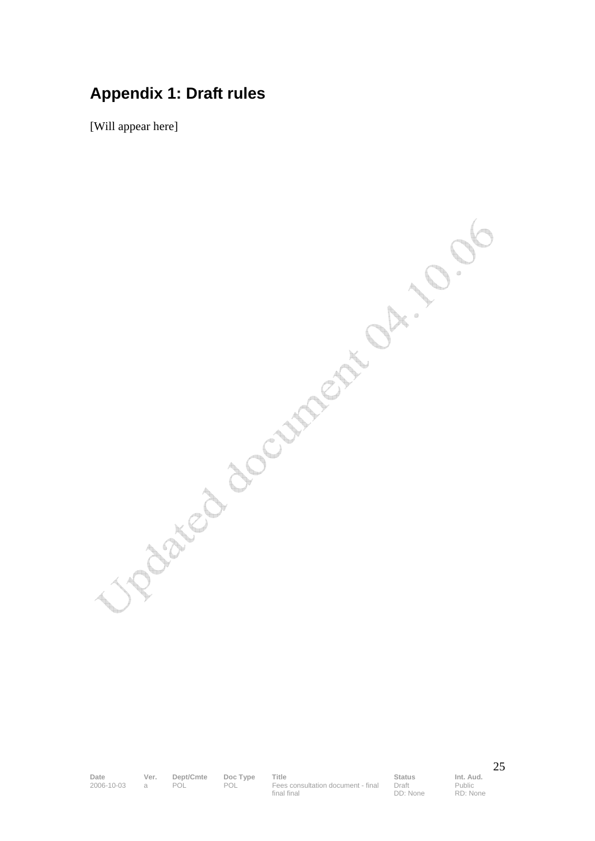## **Appendix 1: Draft rules**

[Will appear here]

Upaked document of ... . 0.06

Date Ver. Dept/Cmte Doc Type Title **Status** Status Int. Aud. 2006-10-03 a POL POL Fees consultation document - final final final

Draft DD: None Public RD: None